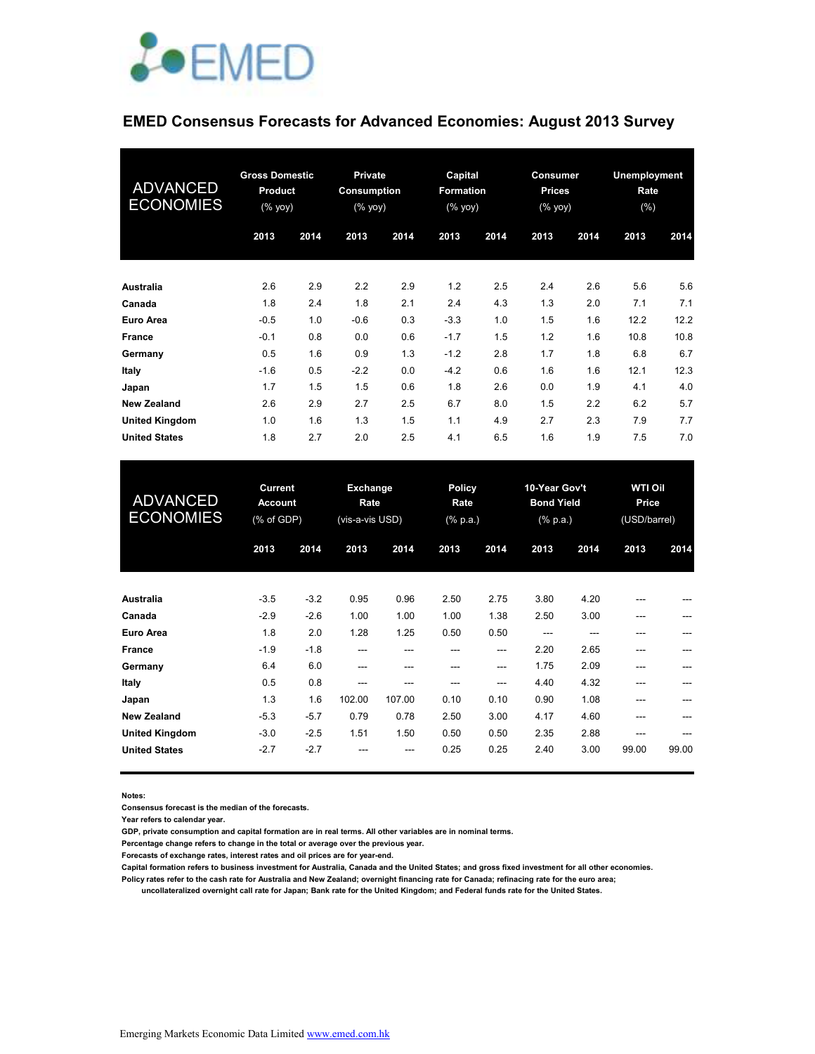

# **EMED Consensus Forecasts for Advanced Economies: August 2013 Survey**

| <b>ADVANCED</b><br><b>ECONOMIES</b> | <b>Gross Domestic</b><br>Product<br>$(%$ (% yoy) |      |        |      | <b>Private</b><br><b>Consumption</b><br>$(%$ (% yoy) |      | Capital<br><b>Formation</b><br>$(% \mathsf{Y}\rightarrow \mathsf{Y})$ (% $\mathsf{Y}\rightarrow \mathsf{Y}$ |      | Consumer<br><b>Prices</b><br>$(%$ (% yoy) |      | <b>Unemployment</b><br>Rate<br>(%) |  |
|-------------------------------------|--------------------------------------------------|------|--------|------|------------------------------------------------------|------|-------------------------------------------------------------------------------------------------------------|------|-------------------------------------------|------|------------------------------------|--|
|                                     | 2013                                             | 2014 | 2013   | 2014 | 2013                                                 | 2014 | 2013                                                                                                        | 2014 | 2013                                      | 2014 |                                    |  |
| Australia                           | 2.6                                              | 2.9  | 2.2    | 2.9  | 1.2                                                  | 2.5  | 2.4                                                                                                         | 2.6  | 5.6                                       | 5.6  |                                    |  |
| Canada                              | 1.8                                              | 2.4  | 1.8    | 2.1  | 2.4                                                  | 4.3  | 1.3                                                                                                         | 2.0  | 7.1                                       | 7.1  |                                    |  |
| Euro Area                           | $-0.5$                                           | 1.0  | $-0.6$ | 0.3  | $-3.3$                                               | 1.0  | 1.5                                                                                                         | 1.6  | 12.2                                      | 12.2 |                                    |  |
| <b>France</b>                       | $-0.1$                                           | 0.8  | 0.0    | 0.6  | $-1.7$                                               | 1.5  | 1.2                                                                                                         | 1.6  | 10.8                                      | 10.8 |                                    |  |
| Germany                             | 0.5                                              | 1.6  | 0.9    | 1.3  | $-1.2$                                               | 2.8  | 1.7                                                                                                         | 1.8  | 6.8                                       | 6.7  |                                    |  |
| Italy                               | $-1.6$                                           | 0.5  | $-2.2$ | 0.0  | $-4.2$                                               | 0.6  | 1.6                                                                                                         | 1.6  | 12.1                                      | 12.3 |                                    |  |
| Japan                               | 1.7                                              | 1.5  | 1.5    | 0.6  | 1.8                                                  | 2.6  | 0.0                                                                                                         | 1.9  | 4.1                                       | 4.0  |                                    |  |
| <b>New Zealand</b>                  | 2.6                                              | 2.9  | 2.7    | 2.5  | 6.7                                                  | 8.0  | 1.5                                                                                                         | 2.2  | 6.2                                       | 5.7  |                                    |  |
| <b>United Kingdom</b>               | 1.0                                              | 1.6  | 1.3    | 1.5  | 1.1                                                  | 4.9  | 2.7                                                                                                         | 2.3  | 7.9                                       | 7.7  |                                    |  |
| <b>United States</b>                | 1.8                                              | 2.7  | 2.0    | 2.5  | 4.1                                                  | 6.5  | 1.6                                                                                                         | 1.9  | 7.5                                       | 7.0  |                                    |  |

| <b>ADVANCED</b><br><b>ECONOMIES</b> | <b>Current</b><br><b>Account</b><br>(% of GDP) |        | Exchange<br>Rate<br>(vis-a-vis USD) |        | <b>Policy</b><br>Rate<br>$(% \mathbb{R}^2)$ (% p.a.) |      | 10-Year Gov't<br><b>Bond Yield</b><br>$(% \mathbf{a})$ (% p.a.) |      | <b>WTI Oil</b><br>Price<br>(USD/barrel) |       |
|-------------------------------------|------------------------------------------------|--------|-------------------------------------|--------|------------------------------------------------------|------|-----------------------------------------------------------------|------|-----------------------------------------|-------|
|                                     | 2013                                           | 2014   | 2013                                | 2014   | 2013                                                 | 2014 | 2013                                                            | 2014 | 2013                                    | 2014  |
| Australia                           | $-3.5$                                         | $-3.2$ | 0.95                                | 0.96   | 2.50                                                 | 2.75 | 3.80                                                            | 4.20 | ---                                     |       |
| Canada                              | $-2.9$                                         | $-2.6$ | 1.00                                | 1.00   | 1.00                                                 | 1.38 | 2.50                                                            | 3.00 | ---                                     |       |
| Euro Area                           | 1.8                                            | 2.0    | 1.28                                | 1.25   | 0.50                                                 | 0.50 | $---$                                                           | ---  | ---                                     |       |
| France                              | $-1.9$                                         | $-1.8$ | ---                                 | ---    | ---                                                  | ---  | 2.20                                                            | 2.65 | ---                                     |       |
| Germany                             | 6.4                                            | 6.0    | ---                                 | ---    | ---                                                  | ---  | 1.75                                                            | 2.09 | ---                                     |       |
| <b>Italy</b>                        | 0.5                                            | 0.8    | ---                                 | ---    | ---                                                  | ---  | 4.40                                                            | 4.32 | ---                                     | ---   |
| Japan                               | 1.3                                            | 1.6    | 102.00                              | 107.00 | 0.10                                                 | 0.10 | 0.90                                                            | 1.08 | ---                                     |       |
| <b>New Zealand</b>                  | $-5.3$                                         | $-5.7$ | 0.79                                | 0.78   | 2.50                                                 | 3.00 | 4.17                                                            | 4.60 | ---                                     |       |
| <b>United Kingdom</b>               | $-3.0$                                         | $-2.5$ | 1.51                                | 1.50   | 0.50                                                 | 0.50 | 2.35                                                            | 2.88 | ---                                     |       |
| <b>United States</b>                | $-2.7$                                         | $-2.7$ |                                     |        | 0.25                                                 | 0.25 | 2.40                                                            | 3.00 | 99.00                                   | 99.00 |

**Notes:** 

**Consensus forecast is the median of the forecasts.**

**Year refers to calendar year.**

**GDP, private consumption and capital formation are in real terms. All other variables are in nominal terms.**

**Percentage change refers to change in the total or average over the previous year.**

**Forecasts of exchange rates, interest rates and oil prices are for year-end.**

**Capital formation refers to business investment for Australia, Canada and the United States; and gross fixed investment for all other economies.**

**Policy rates refer to the cash rate for Australia and New Zealand; overnight financing rate for Canada; refinacing rate for the euro area; uncollateralized overnight call rate for Japan; Bank rate for the United Kingdom; and Federal funds rate for the United States.**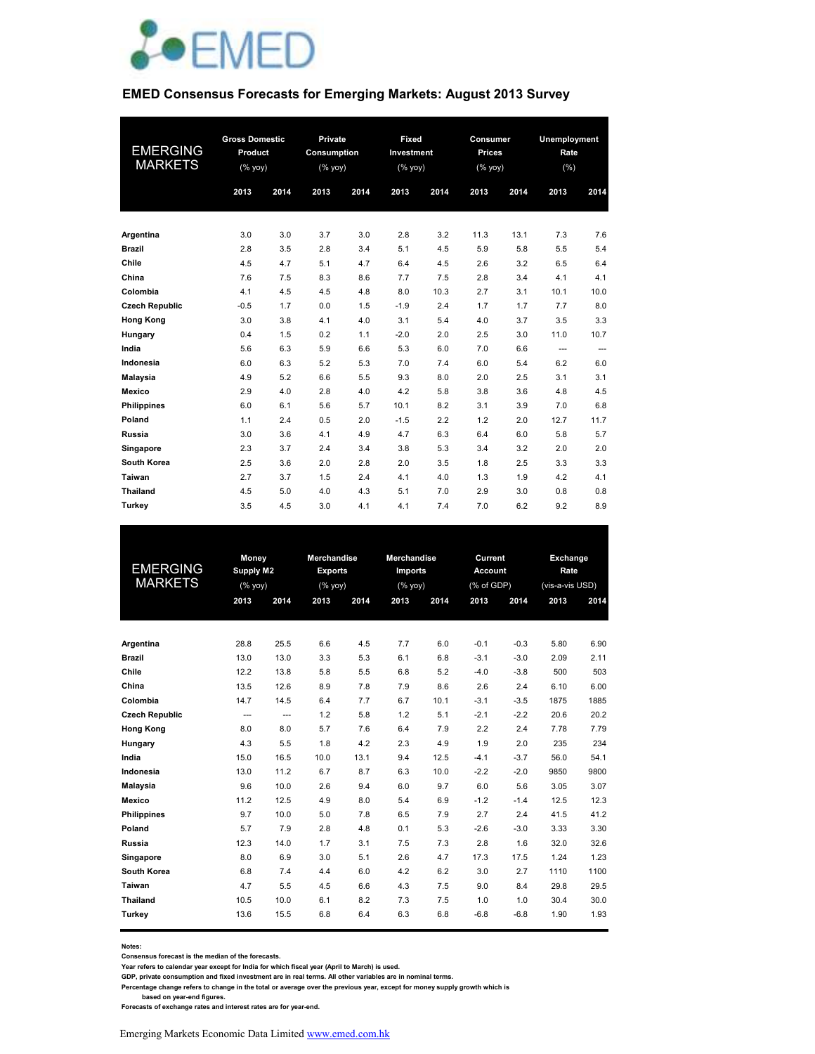

#### **EMED Consensus Forecasts for Emerging Markets: August 2013 Survey**

|                       | <b>Gross Domestic</b> |      | Private     |      | Fixed      |      | Consumer      |      | Unemployment      |      |
|-----------------------|-----------------------|------|-------------|------|------------|------|---------------|------|-------------------|------|
| <b>EMERGING</b>       | Product               |      | Consumption |      | Investment |      | <b>Prices</b> |      | Rate              |      |
| <b>MARKETS</b>        | (% yoy)               |      | (% yoy)     |      | (% yoy)    |      | (% yoy)       |      | (%)               |      |
|                       | 2013                  | 2014 | 2013        | 2014 | 2013       | 2014 | 2013          | 2014 | 2013              | 2014 |
|                       |                       |      |             |      |            |      |               |      |                   |      |
| Argentina             | 3.0                   | 3.0  | 3.7         | 3.0  | 2.8        | 3.2  | 11.3          | 13.1 | 7.3               | 7.6  |
| <b>Brazil</b>         | 2.8                   | 3.5  | 2.8         | 3.4  | 5.1        | 4.5  | 5.9           | 5.8  | 5.5               | 5.4  |
| Chile                 | 4.5                   | 4.7  | 5.1         | 4.7  | 6.4        | 4.5  | 2.6           | 3.2  | 6.5               | 6.4  |
| China                 | 7.6                   | 7.5  | 8.3         | 8.6  | 7.7        | 7.5  | 2.8           | 3.4  | 4.1               | 4.1  |
| Colombia              | 4.1                   | 4.5  | 4.5         | 4.8  | 8.0        | 10.3 | 2.7           | 3.1  | 10.1              | 10.0 |
| <b>Czech Republic</b> | $-0.5$                | 1.7  | 0.0         | 1.5  | $-1.9$     | 2.4  | 1.7           | 1.7  | 7.7               | 8.0  |
| <b>Hong Kong</b>      | 3.0                   | 3.8  | 4.1         | 4.0  | 3.1        | 5.4  | 4.0           | 3.7  | 3.5               | 3.3  |
| Hungary               | 0.4                   | 1.5  | 0.2         | 1.1  | $-2.0$     | 2.0  | 2.5           | 3.0  | 11.0              | 10.7 |
| India                 | 5.6                   | 6.3  | 5.9         | 6.6  | 5.3        | 6.0  | 7.0           | 6.6  | $\qquad \qquad -$ | ---  |
| Indonesia             | 6.0                   | 6.3  | 5.2         | 5.3  | 7.0        | 7.4  | 6.0           | 5.4  | 6.2               | 6.0  |
| <b>Malaysia</b>       | 4.9                   | 5.2  | 6.6         | 5.5  | 9.3        | 8.0  | 2.0           | 2.5  | 3.1               | 3.1  |
| Mexico                | 2.9                   | 4.0  | 2.8         | 4.0  | 4.2        | 5.8  | 3.8           | 3.6  | 4.8               | 4.5  |
| <b>Philippines</b>    | 6.0                   | 6.1  | 5.6         | 5.7  | 10.1       | 8.2  | 3.1           | 3.9  | 7.0               | 6.8  |
| Poland                | 1.1                   | 2.4  | 0.5         | 2.0  | $-1.5$     | 2.2  | 1.2           | 2.0  | 12.7              | 11.7 |
| Russia                | 3.0                   | 3.6  | 4.1         | 4.9  | 4.7        | 6.3  | 6.4           | 6.0  | 5.8               | 5.7  |
| Singapore             | 2.3                   | 3.7  | 2.4         | 3.4  | 3.8        | 5.3  | 3.4           | 3.2  | 2.0               | 2.0  |
| <b>South Korea</b>    | 2.5                   | 3.6  | 2.0         | 2.8  | 2.0        | 3.5  | 1.8           | 2.5  | 3.3               | 3.3  |
| Taiwan                | 2.7                   | 3.7  | 1.5         | 2.4  | 4.1        | 4.0  | 1.3           | 1.9  | 4.2               | 4.1  |
| <b>Thailand</b>       | 4.5                   | 5.0  | 4.0         | 4.3  | 5.1        | 7.0  | 2.9           | 3.0  | 0.8               | 0.8  |
| Turkey                | 3.5                   | 4.5  | 3.0         | 4.1  | 4.1        | 7.4  | 7.0           | 6.2  | 9.2               | 8.9  |

|                       | Money     |      | <b>Merchandise</b>         |      | <b>Merchandise</b>                                                 |      | Current        |        | Exchange        |      |
|-----------------------|-----------|------|----------------------------|------|--------------------------------------------------------------------|------|----------------|--------|-----------------|------|
| <b>EMERGING</b>       | Supply M2 |      | <b>Exports</b>             |      | Imports                                                            |      | <b>Account</b> |        | Rate            |      |
| <b>MARKETS</b>        | (% yoy)   |      | $(% \overline{y})$ (% yoy) |      | $(% \mathsf{Y}^{\prime }\mathsf{Y}^{\prime }\mathsf{Y}^{\prime })$ |      | (% of GDP)     |        | (vis-a-vis USD) |      |
|                       | 2013      | 2014 | 2013                       | 2014 | 2013                                                               | 2014 | 2013           | 2014   | 2013            | 2014 |
|                       |           |      |                            |      |                                                                    |      |                |        |                 |      |
| Argentina             | 28.8      | 25.5 | 6.6                        | 4.5  | 7.7                                                                | 6.0  | $-0.1$         | $-0.3$ | 5.80            | 6.90 |
| <b>Brazil</b>         | 13.0      | 13.0 | 3.3                        | 5.3  | 6.1                                                                | 6.8  | $-3.1$         | $-3.0$ | 2.09            | 2.11 |
| Chile                 | 12.2      | 13.8 | 5.8                        | 5.5  | 6.8                                                                | 5.2  | $-4.0$         | $-3.8$ | 500             | 503  |
| China                 | 13.5      | 12.6 | 8.9                        | 7.8  | 7.9                                                                | 8.6  | 2.6            | 2.4    | 6.10            | 6.00 |
| Colombia              | 14.7      | 14.5 | 6.4                        | 7.7  | 6.7                                                                | 10.1 | $-3.1$         | $-3.5$ | 1875            | 1885 |
| <b>Czech Republic</b> | ---       | ---  | 1.2                        | 5.8  | 1.2                                                                | 5.1  | $-2.1$         | $-2.2$ | 20.6            | 20.2 |
| <b>Hong Kong</b>      | 8.0       | 8.0  | 5.7                        | 7.6  | 6.4                                                                | 7.9  | 2.2            | 2.4    | 7.78            | 7.79 |
| Hungary               | 4.3       | 5.5  | 1.8                        | 4.2  | 2.3                                                                | 4.9  | 1.9            | 2.0    | 235             | 234  |
| India                 | 15.0      | 16.5 | 10.0                       | 13.1 | 9.4                                                                | 12.5 | $-4.1$         | $-3.7$ | 56.0            | 54.1 |
| Indonesia             | 13.0      | 11.2 | 6.7                        | 8.7  | 6.3                                                                | 10.0 | $-2.2$         | $-2.0$ | 9850            | 9800 |
| Malaysia              | 9.6       | 10.0 | 2.6                        | 9.4  | 6.0                                                                | 9.7  | 6.0            | 5.6    | 3.05            | 3.07 |
| Mexico                | 11.2      | 12.5 | 4.9                        | 8.0  | 5.4                                                                | 6.9  | $-1.2$         | $-1.4$ | 12.5            | 12.3 |
| <b>Philippines</b>    | 9.7       | 10.0 | 5.0                        | 7.8  | 6.5                                                                | 7.9  | 2.7            | 2.4    | 41.5            | 41.2 |
| Poland                | 5.7       | 7.9  | 2.8                        | 4.8  | 0.1                                                                | 5.3  | $-2.6$         | $-3.0$ | 3.33            | 3.30 |
| Russia                | 12.3      | 14.0 | 1.7                        | 3.1  | 7.5                                                                | 7.3  | 2.8            | 1.6    | 32.0            | 32.6 |
| Singapore             | 8.0       | 6.9  | 3.0                        | 5.1  | 2.6                                                                | 4.7  | 17.3           | 17.5   | 1.24            | 1.23 |
| South Korea           | 6.8       | 7.4  | 4.4                        | 6.0  | 4.2                                                                | 6.2  | 3.0            | 2.7    | 1110            | 1100 |
| Taiwan                | 4.7       | 5.5  | 4.5                        | 6.6  | 4.3                                                                | 7.5  | 9.0            | 8.4    | 29.8            | 29.5 |
| <b>Thailand</b>       | 10.5      | 10.0 | 6.1                        | 8.2  | 7.3                                                                | 7.5  | 1.0            | 1.0    | 30.4            | 30.0 |
| Turkey                | 13.6      | 15.5 | 6.8                        | 6.4  | 6.3                                                                | 6.8  | $-6.8$         | $-6.8$ | 1.90            | 1.93 |
|                       |           |      |                            |      |                                                                    |      |                |        |                 |      |

**Notes:** 

**Consensus forecast is the median of the forecasts.**

**Year refers to calendar year except for India for which fiscal year (April to March) is used. GDP, private consumption and fixed investment are in real terms. All other variables are in nominal terms.**

**Percentage change refers to change in the total or average over the previous year, except for money supply growth which is** 

 **based on year-end figures.**

**Forecasts of exchange rates and interest rates are for year-end.**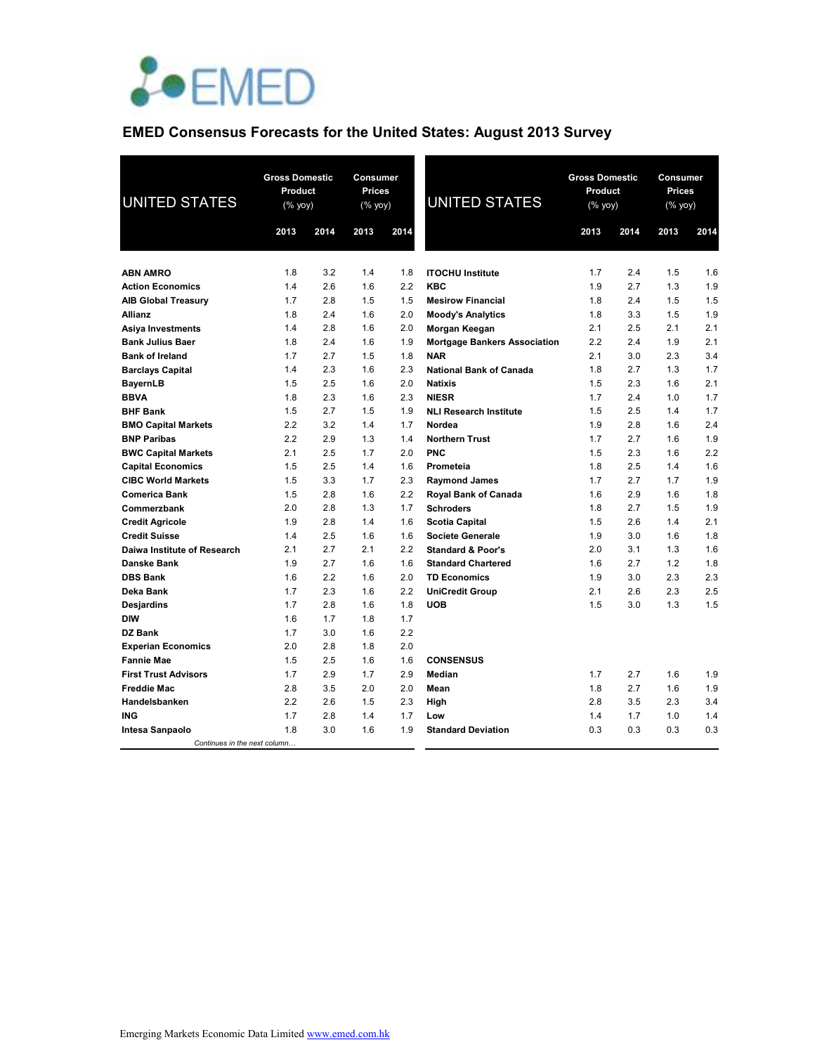

# **EMED Consensus Forecasts for the United States: August 2013 Survey**

| <b>UNITED STATES</b>                       | <b>Gross Domestic</b><br>Product<br>(% yoy) |            | Consumer<br>Prices<br><b>UNITED STATES</b><br>(% yoy) |            | <b>Gross Domestic</b><br>Product<br>(% yoy) | <b>Consumer</b><br>Prices<br>(% yoy) |            |            |            |
|--------------------------------------------|---------------------------------------------|------------|-------------------------------------------------------|------------|---------------------------------------------|--------------------------------------|------------|------------|------------|
|                                            | 2013                                        | 2014       | 2013                                                  | 2014       |                                             | 2013                                 | 2014       | 2013       | 2014       |
|                                            |                                             |            |                                                       |            |                                             |                                      |            |            |            |
| <b>ABN AMRO</b><br><b>Action Economics</b> | 1.8<br>1.4                                  | 3.2<br>2.6 | 1.4<br>1.6                                            | 1.8<br>2.2 | <b>ITOCHU</b> Institute<br><b>KBC</b>       | 1.7<br>1.9                           | 2.4<br>2.7 | 1.5<br>1.3 | 1.6<br>1.9 |
|                                            | 1.7                                         | 2.8        | 1.5                                                   | 1.5        | <b>Mesirow Financial</b>                    | 1.8                                  | 2.4        | 1.5        | 1.5        |
| <b>AIB Global Treasury</b>                 | 1.8                                         | 2.4        | 1.6                                                   | 2.0        |                                             | 1.8                                  | 3.3        | 1.5        | 1.9        |
| Allianz<br>Asiya Investments               | 1.4                                         | 2.8        | 1.6                                                   | 2.0        | <b>Moody's Analytics</b><br>Morgan Keegan   | 2.1                                  | 2.5        | 2.1        | 2.1        |
| <b>Bank Julius Baer</b>                    | 1.8                                         | 2.4        | 1.6                                                   | 1.9        | <b>Mortgage Bankers Association</b>         | 2.2                                  | 2.4        | 1.9        | 2.1        |
| <b>Bank of Ireland</b>                     | 1.7                                         | 2.7        | 1.5                                                   | 1.8        | <b>NAR</b>                                  | 2.1                                  | 3.0        | 2.3        | 3.4        |
| <b>Barclays Capital</b>                    | 1.4                                         | 2.3        | 1.6                                                   | 2.3        | <b>National Bank of Canada</b>              | 1.8                                  | 2.7        | 1.3        | 1.7        |
| BayernLB                                   | 1.5                                         | 2.5        | 1.6                                                   | 2.0        | <b>Natixis</b>                              | 1.5                                  | 2.3        | 1.6        | 2.1        |
| <b>BBVA</b>                                | 1.8                                         | 2.3        | 1.6                                                   | 2.3        | <b>NIESR</b>                                | 1.7                                  | 2.4        | 1.0        | 1.7        |
| <b>BHF Bank</b>                            | 1.5                                         | 2.7        | 1.5                                                   | 1.9        | <b>NLI Research Institute</b>               | 1.5                                  | 2.5        | 1.4        | 1.7        |
| <b>BMO Capital Markets</b>                 | 2.2                                         | 3.2        | 1.4                                                   | 1.7        | Nordea                                      | 1.9                                  | 2.8        | 1.6        | 2.4        |
| <b>BNP Paribas</b>                         | 2.2                                         | 2.9        | 1.3                                                   | 1.4        | <b>Northern Trust</b>                       | 1.7                                  | 2.7        | 1.6        | 1.9        |
| <b>BWC Capital Markets</b>                 | 2.1                                         | 2.5        | 1.7                                                   | 2.0        | <b>PNC</b>                                  | 1.5                                  | 2.3        | 1.6        | 2.2        |
| <b>Capital Economics</b>                   | 1.5                                         | 2.5        | 1.4                                                   | 1.6        | Prometeia                                   | 1.8                                  | 2.5        | 1.4        | 1.6        |
| <b>CIBC World Markets</b>                  | 1.5                                         | 3.3        | 1.7                                                   | 2.3        | <b>Raymond James</b>                        | 1.7                                  | 2.7        | 1.7        | 1.9        |
| Comerica Bank                              | 1.5                                         | 2.8        | 1.6                                                   | 2.2        | Royal Bank of Canada                        | 1.6                                  | 2.9        | 1.6        | 1.8        |
| Commerzbank                                | 2.0                                         | 2.8        | 1.3                                                   | 1.7        | <b>Schroders</b>                            | 1.8                                  | 2.7        | 1.5        | 1.9        |
| <b>Credit Agricole</b>                     | 1.9                                         | 2.8        | 1.4                                                   | 1.6        | <b>Scotia Capital</b>                       | 1.5                                  | 2.6        | 1.4        | 2.1        |
| <b>Credit Suisse</b>                       | 1.4                                         | 2.5        | 1.6                                                   | 1.6        | <b>Societe Generale</b>                     | 1.9                                  | 3.0        | 1.6        | 1.8        |
| Daiwa Institute of Research                | 2.1                                         | 2.7        | 2.1                                                   | 2.2        | <b>Standard &amp; Poor's</b>                | 2.0                                  | 3.1        | 1.3        | 1.6        |
| Danske Bank                                | 1.9                                         | 2.7        | 1.6                                                   | 1.6        | <b>Standard Chartered</b>                   | 1.6                                  | 2.7        | 1.2        | 1.8        |
| <b>DBS Bank</b>                            | 1.6                                         | 2.2        | 1.6                                                   | 2.0        | <b>TD Economics</b>                         | 1.9                                  | 3.0        | 2.3        | 2.3        |
| Deka Bank                                  | 1.7                                         | 2.3        | 1.6                                                   | 2.2        | <b>UniCredit Group</b>                      | 2.1                                  | 2.6        | 2.3        | 2.5        |
| Desjardins                                 | 1.7                                         | 2.8        | 1.6                                                   | 1.8        | <b>UOB</b>                                  | 1.5                                  | 3.0        | 1.3        | 1.5        |
| <b>DIW</b>                                 | 1.6                                         | 1.7        | 1.8                                                   | 1.7        |                                             |                                      |            |            |            |
| DZ Bank                                    | 1.7                                         | 3.0        | 1.6                                                   | 2.2        |                                             |                                      |            |            |            |
| <b>Experian Economics</b>                  | 2.0                                         | 2.8        | 1.8                                                   | 2.0        |                                             |                                      |            |            |            |
| <b>Fannie Mae</b>                          | 1.5                                         | 2.5        | 1.6                                                   | 1.6        | <b>CONSENSUS</b>                            |                                      |            |            |            |
| <b>First Trust Advisors</b>                | 1.7                                         | 2.9        | 1.7                                                   | 2.9        | <b>Median</b>                               | 1.7                                  | 2.7        | 1.6        | 1.9        |
| Freddie Mac                                | 2.8                                         | 3.5        | 2.0                                                   | 2.0        | Mean                                        | 1.8                                  | 2.7        | 1.6        | 1.9        |
| Handelsbanken                              | 2.2                                         | 2.6        | 1.5                                                   | 2.3        | High                                        | 2.8                                  | 3.5        | 2.3        | 3.4        |
| ING                                        | 1.7                                         | 2.8        | 1.4                                                   | 1.7        | Low                                         | 1.4                                  | 1.7        | 1.0        | 1.4        |
| Intesa Sanpaolo                            | 1.8                                         | 3.0        | 1.6                                                   | 1.9        | <b>Standard Deviation</b>                   | 0.3                                  | 0.3        | 0.3        | 0.3        |
| Continues in the next column               |                                             |            |                                                       |            |                                             |                                      |            |            |            |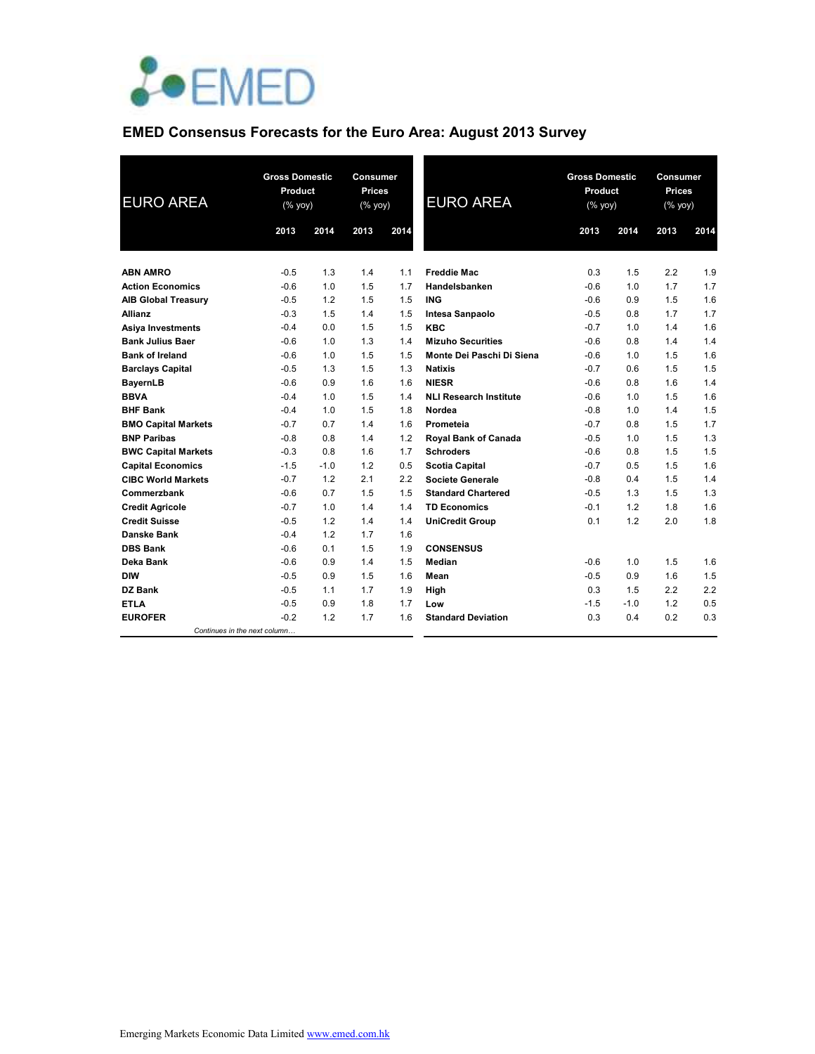

# **EMED Consensus Forecasts for the Euro Area: August 2013 Survey**

| <b>EURO AREA</b>           |                              | <b>Gross Domestic</b><br>Product<br>(% yoy) |      | Consumer<br><b>Prices</b><br>(% yoy) | <b>EURO AREA</b>              | <b>Gross Domestic</b><br>Product<br>(% yoy) |        | <b>Consumer</b><br><b>Prices</b><br>(% yoy) |      |
|----------------------------|------------------------------|---------------------------------------------|------|--------------------------------------|-------------------------------|---------------------------------------------|--------|---------------------------------------------|------|
|                            | 2013                         | 2014                                        | 2013 | 2014                                 |                               | 2013                                        | 2014   | 2013                                        | 2014 |
| <b>ABN AMRO</b>            | $-0.5$                       | 1.3                                         | 1.4  | 1.1                                  | <b>Freddie Mac</b>            | 0.3                                         | 1.5    | 2.2                                         | 1.9  |
| <b>Action Economics</b>    | $-0.6$                       | 1.0                                         | 1.5  | 1.7                                  | Handelsbanken                 | $-0.6$                                      | 1.0    | 1.7                                         | 1.7  |
| <b>AIB Global Treasury</b> | $-0.5$                       | 1.2                                         | 1.5  | 1.5                                  | <b>ING</b>                    | $-0.6$                                      | 0.9    | 1.5                                         | 1.6  |
| <b>Allianz</b>             | $-0.3$                       | 1.5                                         | 1.4  | 1.5                                  | Intesa Sanpaolo               | $-0.5$                                      | 0.8    | 1.7                                         | 1.7  |
| <b>Asiya Investments</b>   | $-0.4$                       | 0.0                                         | 1.5  | 1.5                                  | KBC                           | $-0.7$                                      | 1.0    | 1.4                                         | 1.6  |
| <b>Bank Julius Baer</b>    | $-0.6$                       | 1.0                                         | 1.3  | 1.4                                  | <b>Mizuho Securities</b>      | $-0.6$                                      | 0.8    | 1.4                                         | 1.4  |
| <b>Bank of Ireland</b>     | $-0.6$                       | 1.0                                         | 1.5  | 1.5                                  | Monte Dei Paschi Di Siena     | $-0.6$                                      | 1.0    | 1.5                                         | 1.6  |
| <b>Barclays Capital</b>    | $-0.5$                       | 1.3                                         | 1.5  | 1.3                                  | <b>Natixis</b>                | $-0.7$                                      | 0.6    | 1.5                                         | 1.5  |
| <b>BayernLB</b>            | $-0.6$                       | 0.9                                         | 1.6  | 1.6                                  | <b>NIESR</b>                  | $-0.6$                                      | 0.8    | 1.6                                         | 1.4  |
| <b>BBVA</b>                | $-0.4$                       | 1.0                                         | 1.5  | 1.4                                  | <b>NLI Research Institute</b> | $-0.6$                                      | 1.0    | 1.5                                         | 1.6  |
| <b>BHF Bank</b>            | $-0.4$                       | 1.0                                         | 1.5  | 1.8                                  | Nordea                        | $-0.8$                                      | 1.0    | 1.4                                         | 1.5  |
| <b>BMO Capital Markets</b> | $-0.7$                       | 0.7                                         | 1.4  | 1.6                                  | Prometeia                     | $-0.7$                                      | 0.8    | 1.5                                         | 1.7  |
| <b>BNP Paribas</b>         | $-0.8$                       | 0.8                                         | 1.4  | 1.2                                  | Royal Bank of Canada          | $-0.5$                                      | 1.0    | 1.5                                         | 1.3  |
| <b>BWC Capital Markets</b> | $-0.3$                       | 0.8                                         | 1.6  | 1.7                                  | <b>Schroders</b>              | $-0.6$                                      | 0.8    | 1.5                                         | 1.5  |
| <b>Capital Economics</b>   | $-1.5$                       | $-1.0$                                      | 1.2  | 0.5                                  | <b>Scotia Capital</b>         | $-0.7$                                      | 0.5    | 1.5                                         | 1.6  |
| <b>CIBC World Markets</b>  | $-0.7$                       | 1.2                                         | 2.1  | 2.2                                  | Societe Generale              | $-0.8$                                      | 0.4    | 1.5                                         | 1.4  |
| Commerzbank                | $-0.6$                       | 0.7                                         | 1.5  | 1.5                                  | <b>Standard Chartered</b>     | $-0.5$                                      | 1.3    | 1.5                                         | 1.3  |
| <b>Credit Agricole</b>     | $-0.7$                       | 1.0                                         | 1.4  | 1.4                                  | <b>TD Economics</b>           | $-0.1$                                      | 1.2    | 1.8                                         | 1.6  |
| <b>Credit Suisse</b>       | $-0.5$                       | 1.2                                         | 1.4  | 1.4                                  | <b>UniCredit Group</b>        | 0.1                                         | 1.2    | 2.0                                         | 1.8  |
| <b>Danske Bank</b>         | $-0.4$                       | 1.2                                         | 1.7  | 1.6                                  |                               |                                             |        |                                             |      |
| <b>DBS Bank</b>            | $-0.6$                       | 0.1                                         | 1.5  | 1.9                                  | <b>CONSENSUS</b>              |                                             |        |                                             |      |
| Deka Bank                  | $-0.6$                       | 0.9                                         | 1.4  | 1.5                                  | Median                        | $-0.6$                                      | 1.0    | 1.5                                         | 1.6  |
| DIW                        | $-0.5$                       | 0.9                                         | 1.5  | 1.6                                  | Mean                          | $-0.5$                                      | 0.9    | 1.6                                         | 1.5  |
| <b>DZ Bank</b>             | $-0.5$                       | 1.1                                         | 1.7  | 1.9                                  | High                          | 0.3                                         | 1.5    | 2.2                                         | 2.2  |
| <b>ETLA</b>                | $-0.5$                       | 0.9                                         | 1.8  | 1.7                                  | Low                           | $-1.5$                                      | $-1.0$ | 1.2                                         | 0.5  |
| <b>EUROFER</b>             | $-0.2$                       | 1.2                                         | 1.7  | 1.6                                  | <b>Standard Deviation</b>     | 0.3                                         | 0.4    | 0.2                                         | 0.3  |
|                            | Continues in the next column |                                             |      |                                      |                               |                                             |        |                                             |      |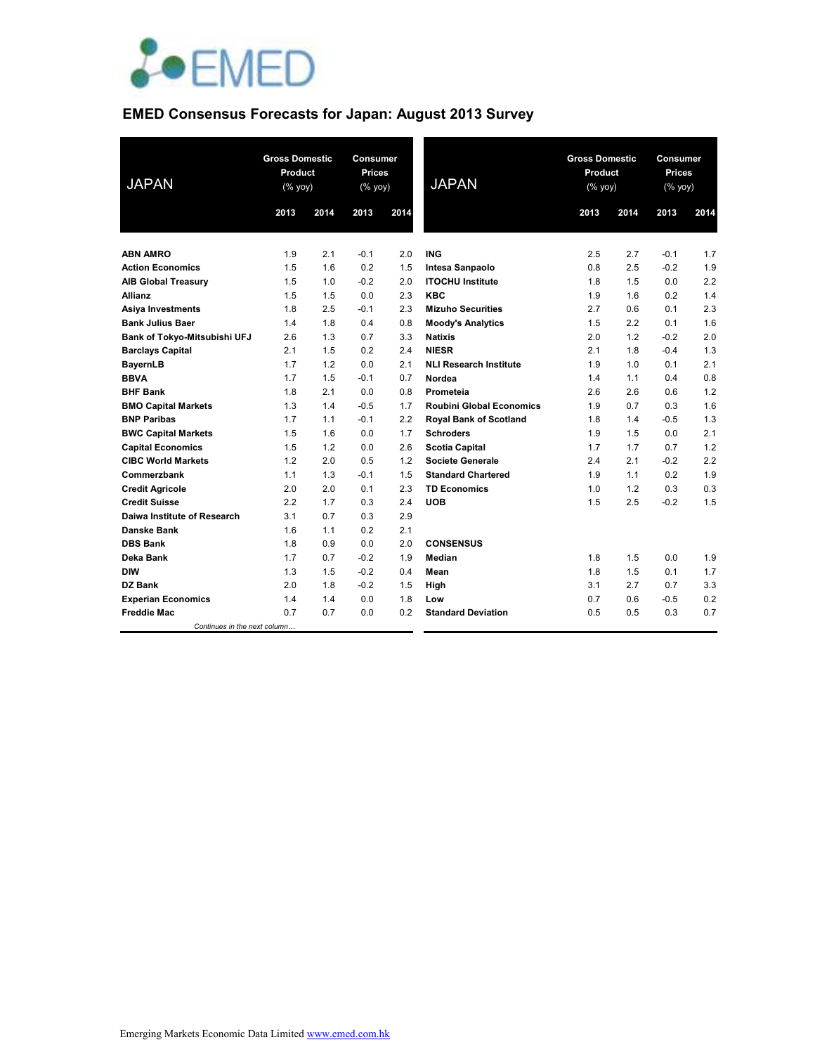

# **EMED Consensus Forecasts for Japan: August 2013 Survey**

| <b>JAPAN</b>                 | <b>Gross Domestic</b><br>Product<br>$(\%$ yoy) |      | <b>Consumer</b><br>Prices<br>$(%$ (% yoy) |      | <b>JAPAN</b>                    | <b>Gross Domestic</b><br>Product<br>$(% \mathsf{Y}^{\prime }\mathsf{Y}^{\prime }\mathsf{Y}^{\prime })$ |      | Consumer<br>Prices<br>(% yoy) |      |
|------------------------------|------------------------------------------------|------|-------------------------------------------|------|---------------------------------|--------------------------------------------------------------------------------------------------------|------|-------------------------------|------|
|                              | 2013                                           | 2014 | 2013                                      | 2014 |                                 | 2013                                                                                                   | 2014 | 2013                          | 2014 |
|                              |                                                |      |                                           |      |                                 |                                                                                                        |      |                               |      |
| <b>ABN AMRO</b>              | 1.9                                            | 2.1  | $-0.1$                                    | 2.0  | <b>ING</b>                      | 2.5                                                                                                    | 2.7  | $-0.1$                        | 1.7  |
| <b>Action Economics</b>      | 1.5                                            | 1.6  | 0.2                                       | 1.5  | <b>Intesa Sanpaolo</b>          | 0.8                                                                                                    | 2.5  | $-0.2$                        | 1.9  |
| <b>AIB Global Treasury</b>   | 1.5                                            | 1.0  | $-0.2$                                    | 2.0  | <b>ITOCHU Institute</b>         | 1.8                                                                                                    | 1.5  | 0.0                           | 2.2  |
| <b>Allianz</b>               | 1.5                                            | 1.5  | 0.0                                       | 2.3  | <b>KBC</b>                      | 1.9                                                                                                    | 1.6  | 0.2                           | 1.4  |
| <b>Asiya Investments</b>     | 1.8                                            | 2.5  | $-0.1$                                    | 2.3  | <b>Mizuho Securities</b>        | 2.7                                                                                                    | 0.6  | 0.1                           | 2.3  |
| <b>Bank Julius Baer</b>      | 1.4                                            | 1.8  | 0.4                                       | 0.8  | <b>Moody's Analytics</b>        | 1.5                                                                                                    | 2.2  | 0.1                           | 1.6  |
| Bank of Tokyo-Mitsubishi UFJ | 2.6                                            | 1.3  | 0.7                                       | 3.3  | <b>Natixis</b>                  | 2.0                                                                                                    | 1.2  | $-0.2$                        | 2.0  |
| <b>Barclays Capital</b>      | 2.1                                            | 1.5  | 0.2                                       | 2.4  | <b>NIESR</b>                    | 2.1                                                                                                    | 1.8  | $-0.4$                        | 1.3  |
| <b>BayernLB</b>              | 1.7                                            | 1.2  | 0.0                                       | 2.1  | <b>NLI Research Institute</b>   | 1.9                                                                                                    | 1.0  | 0.1                           | 2.1  |
| <b>BBVA</b>                  | 1.7                                            | 1.5  | $-0.1$                                    | 0.7  | Nordea                          | 1.4                                                                                                    | 1.1  | 0.4                           | 0.8  |
| <b>BHF Bank</b>              | 1.8                                            | 2.1  | 0.0                                       | 0.8  | Prometeia                       | 2.6                                                                                                    | 2.6  | 0.6                           | 1.2  |
| <b>BMO Capital Markets</b>   | 1.3                                            | 1.4  | $-0.5$                                    | 1.7  | <b>Roubini Global Economics</b> | 1.9                                                                                                    | 0.7  | 0.3                           | 1.6  |
| <b>BNP Paribas</b>           | 1.7                                            | 1.1  | $-0.1$                                    | 2.2  | <b>Royal Bank of Scotland</b>   | 1.8                                                                                                    | 1.4  | $-0.5$                        | 1.3  |
| <b>BWC Capital Markets</b>   | 1.5                                            | 1.6  | 0.0                                       | 1.7  | Schroders                       | 1.9                                                                                                    | 1.5  | 0.0                           | 2.1  |
| <b>Capital Economics</b>     | 1.5                                            | 1.2  | 0.0                                       | 2.6  | <b>Scotia Capital</b>           | 1.7                                                                                                    | 1.7  | 0.7                           | 1.2  |
| <b>CIBC World Markets</b>    | 1.2                                            | 2.0  | 0.5                                       | 1.2  | <b>Societe Generale</b>         | 2.4                                                                                                    | 2.1  | $-0.2$                        | 2.2  |
| Commerzbank                  | 1.1                                            | 1.3  | $-0.1$                                    | 1.5  | <b>Standard Chartered</b>       | 1.9                                                                                                    | 1.1  | 0.2                           | 1.9  |
| <b>Credit Agricole</b>       | 2.0                                            | 2.0  | 0.1                                       | 2.3  | <b>TD Economics</b>             | 1.0                                                                                                    | 1.2  | 0.3                           | 0.3  |
| <b>Credit Suisse</b>         | 2.2                                            | 1.7  | 0.3                                       | 2.4  | <b>UOB</b>                      | 1.5                                                                                                    | 2.5  | $-0.2$                        | 1.5  |
| Daiwa Institute of Research  | 3.1                                            | 0.7  | 0.3                                       | 2.9  |                                 |                                                                                                        |      |                               |      |
| <b>Danske Bank</b>           | 1.6                                            | 1.1  | 0.2                                       | 2.1  |                                 |                                                                                                        |      |                               |      |
| <b>DBS Bank</b>              | 1.8                                            | 0.9  | 0.0                                       | 2.0  | <b>CONSENSUS</b>                |                                                                                                        |      |                               |      |
| Deka Bank                    | 1.7                                            | 0.7  | $-0.2$                                    | 1.9  | Median                          | 1.8                                                                                                    | 1.5  | 0.0                           | 1.9  |
| DIW                          | 1.3                                            | 1.5  | $-0.2$                                    | 0.4  | Mean                            | 1.8                                                                                                    | 1.5  | 0.1                           | 1.7  |
| DZ Bank                      | 2.0                                            | 1.8  | $-0.2$                                    | 1.5  | High                            | 3.1                                                                                                    | 2.7  | 0.7                           | 3.3  |
| <b>Experian Economics</b>    | 1.4                                            | 1.4  | 0.0                                       | 1.8  | Low                             | 0.7                                                                                                    | 0.6  | $-0.5$                        | 0.2  |
| <b>Freddie Mac</b>           | 0.7                                            | 0.7  | 0.0                                       | 0.2  | <b>Standard Deviation</b>       | 0.5                                                                                                    | 0.5  | 0.3                           | 0.7  |
| Continues in the next column |                                                |      |                                           |      |                                 |                                                                                                        |      |                               |      |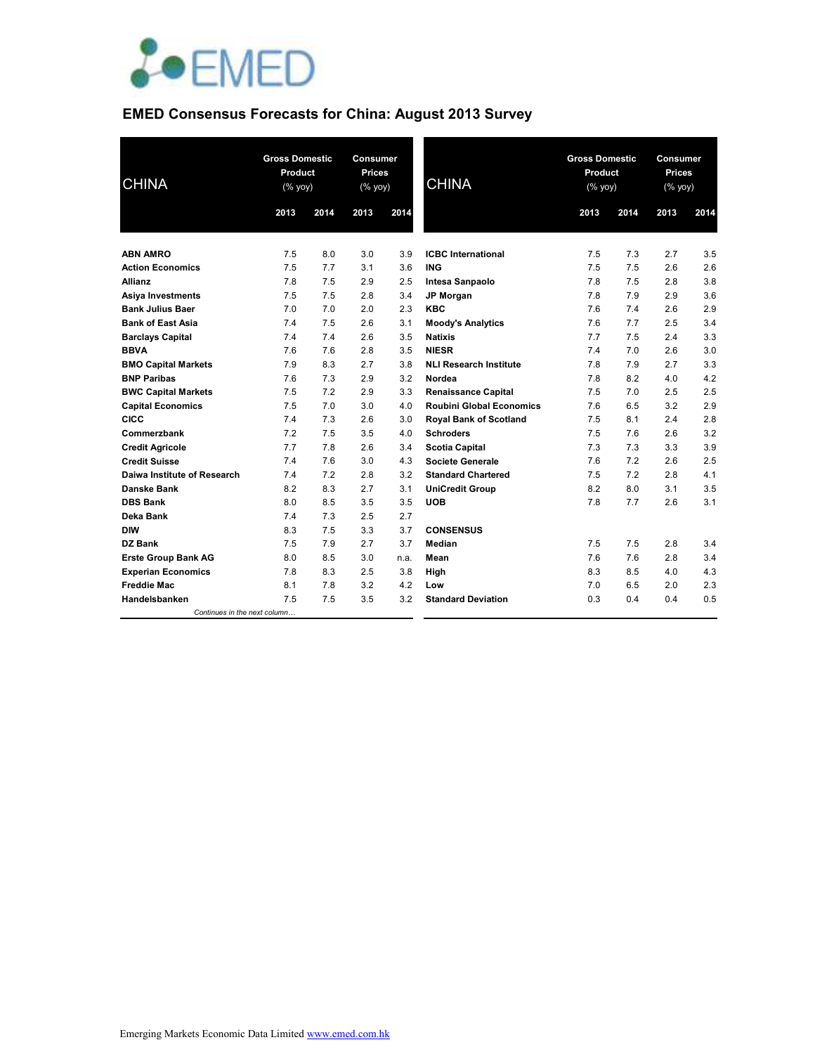

# **EMED Consensus Forecasts for China: August 2013 Survey**

| <b>CHINA</b>                 | <b>Gross Domestic</b><br>Product<br>$(% \mathsf{Y}^{\prime }\mathsf{Y}^{\prime }\mathsf{Y}^{\prime })$ |      | <b>Consumer</b><br><b>Prices</b><br>(% yoy) |      | <b>CHINA</b>                    | <b>Gross Domestic</b><br>Product<br>(% yoy) |      | Consumer<br><b>Prices</b><br>$(\%$ yoy) |      |
|------------------------------|--------------------------------------------------------------------------------------------------------|------|---------------------------------------------|------|---------------------------------|---------------------------------------------|------|-----------------------------------------|------|
|                              | 2013                                                                                                   | 2014 | 2013                                        | 2014 |                                 | 2013                                        | 2014 | 2013                                    | 2014 |
| <b>ABN AMRO</b>              | 7.5                                                                                                    | 8.0  | 3.0                                         | 3.9  | <b>ICBC</b> International       | 7.5                                         | 7.3  | 2.7                                     | 3.5  |
| <b>Action Economics</b>      | 7.5                                                                                                    | 7.7  | 3.1                                         | 3.6  | <b>ING</b>                      | 7.5                                         | 7.5  | 2.6                                     | 2.6  |
| <b>Allianz</b>               | 7.8                                                                                                    | 7.5  | 2.9                                         | 2.5  | Intesa Sanpaolo                 | 7.8                                         | 7.5  | 2.8                                     | 3.8  |
| <b>Asiya Investments</b>     | 7.5                                                                                                    | 7.5  | 2.8                                         | 3.4  | JP Morgan                       | 7.8                                         | 7.9  | 2.9                                     | 3.6  |
| <b>Bank Julius Baer</b>      | 7.0                                                                                                    | 7.0  | 2.0                                         | 2.3  | <b>KBC</b>                      | 7.6                                         | 7.4  | 2.6                                     | 2.9  |
| <b>Bank of East Asia</b>     | 7.4                                                                                                    | 7.5  | 2.6                                         | 3.1  | <b>Moody's Analytics</b>        | 7.6                                         | 7.7  | 2.5                                     | 3.4  |
| <b>Barclays Capital</b>      | 7.4                                                                                                    | 7.4  | 2.6                                         | 3.5  | <b>Natixis</b>                  | 7.7                                         | 7.5  | 2.4                                     | 3.3  |
| <b>BBVA</b>                  | 7.6                                                                                                    | 7.6  | 2.8                                         | 3.5  | <b>NIESR</b>                    | 7.4                                         | 7.0  | 2.6                                     | 3.0  |
| <b>BMO Capital Markets</b>   | 7.9                                                                                                    | 8.3  | 2.7                                         | 3.8  | <b>NLI Research Institute</b>   | 7.8                                         | 7.9  | 2.7                                     | 3.3  |
| <b>BNP Paribas</b>           | 7.6                                                                                                    | 7.3  | 2.9                                         | 3.2  | Nordea                          | 7.8                                         | 8.2  | 4.0                                     | 4.2  |
| <b>BWC Capital Markets</b>   | 7.5                                                                                                    | 7.2  | 2.9                                         | 3.3  | <b>Renaissance Capital</b>      | 7.5                                         | 7.0  | 2.5                                     | 2.5  |
| <b>Capital Economics</b>     | 7.5                                                                                                    | 7.0  | 3.0                                         | 4.0  | <b>Roubini Global Economics</b> | 7.6                                         | 6.5  | 3.2                                     | 2.9  |
| <b>CICC</b>                  | 7.4                                                                                                    | 7.3  | 2.6                                         | 3.0  | <b>Royal Bank of Scotland</b>   | 7.5                                         | 8.1  | 2.4                                     | 2.8  |
| Commerzbank                  | 7.2                                                                                                    | 7.5  | 3.5                                         | 4.0  | <b>Schroders</b>                | 7.5                                         | 7.6  | 2.6                                     | 3.2  |
| <b>Credit Agricole</b>       | 7.7                                                                                                    | 7.8  | 2.6                                         | 3.4  | <b>Scotia Capital</b>           | 7.3                                         | 7.3  | 3.3                                     | 3.9  |
| <b>Credit Suisse</b>         | 7.4                                                                                                    | 7.6  | 3.0                                         | 4.3  | <b>Societe Generale</b>         | 7.6                                         | 7.2  | 2.6                                     | 2.5  |
| Daiwa Institute of Research  | 7.4                                                                                                    | 7.2  | 2.8                                         | 3.2  | <b>Standard Chartered</b>       | 7.5                                         | 7.2  | 2.8                                     | 4.1  |
| <b>Danske Bank</b>           | 8.2                                                                                                    | 8.3  | 2.7                                         | 3.1  | <b>UniCredit Group</b>          | 8.2                                         | 8.0  | 3.1                                     | 3.5  |
| <b>DBS Bank</b>              | 8.0                                                                                                    | 8.5  | 3.5                                         | 3.5  | <b>UOB</b>                      | 7.8                                         | 7.7  | 2.6                                     | 3.1  |
| Deka Bank                    | 7.4                                                                                                    | 7.3  | 2.5                                         | 2.7  |                                 |                                             |      |                                         |      |
| <b>DIW</b>                   | 8.3                                                                                                    | 7.5  | 3.3                                         | 3.7  | <b>CONSENSUS</b>                |                                             |      |                                         |      |
| <b>DZ Bank</b>               | 7.5                                                                                                    | 7.9  | 2.7                                         | 3.7  | Median                          | 7.5                                         | 7.5  | 2.8                                     | 3.4  |
| <b>Erste Group Bank AG</b>   | 8.0                                                                                                    | 8.5  | 3.0                                         | n.a. | Mean                            | 7.6                                         | 7.6  | 2.8                                     | 3.4  |
| <b>Experian Economics</b>    | 7.8                                                                                                    | 8.3  | 2.5                                         | 3.8  | High                            | 8.3                                         | 8.5  | 4.0                                     | 4.3  |
| <b>Freddie Mac</b>           | 8.1                                                                                                    | 7.8  | 3.2                                         | 4.2  | Low                             | 7.0                                         | 6.5  | 2.0                                     | 2.3  |
| Handelsbanken                | 7.5                                                                                                    | 7.5  | 3.5                                         | 3.2  | <b>Standard Deviation</b>       | 0.3                                         | 0.4  | 0.4                                     | 0.5  |
| Continues in the next column |                                                                                                        |      |                                             |      |                                 |                                             |      |                                         |      |